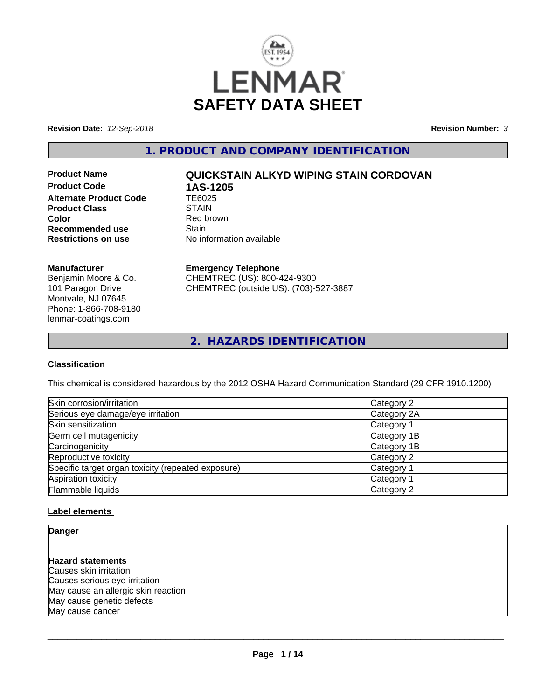

**Revision Date:** *12-Sep-2018* **Revision Number:** *3*

**1. PRODUCT AND COMPANY IDENTIFICATION**

**Product Code 1AS-1205**<br>Alternate Product Code 1E6025 **Alternate Product Code TE6025**<br>Product Class STAIN **Product Class Color**<br> **Recommended use**<br> **Recommended use**<br> **Color Recommended use**<br>Restrictions on use

# **Product Name QUICKSTAIN ALKYD WIPING STAIN CORDOVAN**

**No information available** 

## **Manufacturer**

Benjamin Moore & Co. 101 Paragon Drive Montvale, NJ 07645 Phone: 1-866-708-9180 lenmar-coatings.com

## **Emergency Telephone**

CHEMTREC (US): 800-424-9300 CHEMTREC (outside US): (703)-527-3887

**2. HAZARDS IDENTIFICATION**

## **Classification**

This chemical is considered hazardous by the 2012 OSHA Hazard Communication Standard (29 CFR 1910.1200)

| Skin corrosion/irritation                          | Category 2  |
|----------------------------------------------------|-------------|
| Serious eye damage/eye irritation                  | Category 2A |
| Skin sensitization                                 | Category 1  |
| Germ cell mutagenicity                             | Category 1B |
| Carcinogenicity                                    | Category 1B |
| Reproductive toxicity                              | Category 2  |
| Specific target organ toxicity (repeated exposure) | Category 1  |
| Aspiration toxicity                                | Category 1  |
| Flammable liquids                                  | Category 2  |

### **Label elements**

## **Danger**

## **Hazard statements**

Causes skin irritation Causes serious eye irritation May cause an allergic skin reaction May cause genetic defects May cause cancer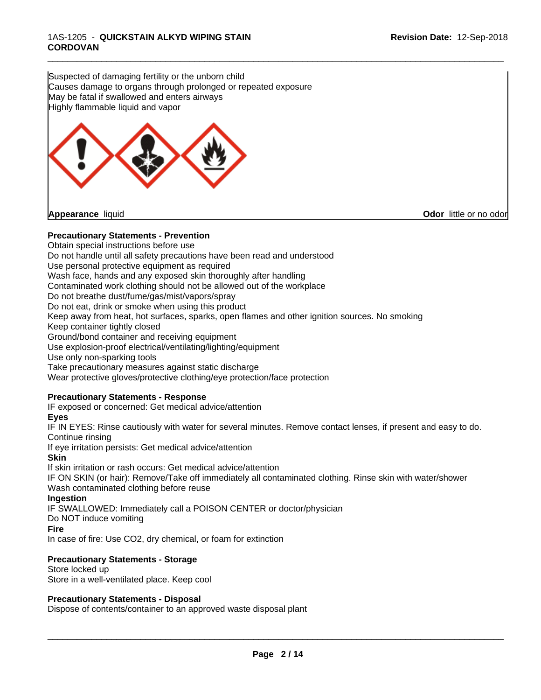Suspected of damaging fertility or the unborn child Causes damage to organs through prolonged or repeated exposure May be fatal if swallowed and enters airways Highly flammable liquid and vapor



## **Precautionary Statements - Prevention**

Obtain special instructions before use Do not handle until all safety precautions have been read and understood Use personal protective equipment as required Wash face, hands and any exposed skin thoroughly after handling Contaminated work clothing should not be allowed out of the workplace Do not breathe dust/fume/gas/mist/vapors/spray Do not eat, drink or smoke when using this product Keep away from heat, hot surfaces, sparks, open flames and other ignition sources. No smoking Keep container tightly closed Ground/bond container and receiving equipment Use explosion-proof electrical/ventilating/lighting/equipment Use only non-sparking tools Take precautionary measures against static discharge Wear protective gloves/protective clothing/eye protection/face protection **Precautionary Statements - Response** IF exposed or concerned: Get medical advice/attention

\_\_\_\_\_\_\_\_\_\_\_\_\_\_\_\_\_\_\_\_\_\_\_\_\_\_\_\_\_\_\_\_\_\_\_\_\_\_\_\_\_\_\_\_\_\_\_\_\_\_\_\_\_\_\_\_\_\_\_\_\_\_\_\_\_\_\_\_\_\_\_\_\_\_\_\_\_\_\_\_\_\_\_\_\_\_\_\_\_\_\_\_\_

## **Eyes**

IF IN EYES: Rinse cautiously with water for several minutes. Remove contact lenses, if present and easy to do. Continue rinsing

If eye irritation persists: Get medical advice/attention

**Skin**

If skin irritation or rash occurs: Get medical advice/attention

IF ON SKIN (or hair): Remove/Take off immediately all contaminated clothing. Rinse skin with water/shower Wash contaminated clothing before reuse

**Ingestion**

IF SWALLOWED: Immediately call a POISON CENTER or doctor/physician

Do NOT induce vomiting

## **Fire**

In case of fire: Use CO2, dry chemical, or foam for extinction

## **Precautionary Statements - Storage**

Store locked up Store in a well-ventilated place. Keep cool

## **Precautionary Statements - Disposal**

Dispose of contents/container to an approved waste disposal plant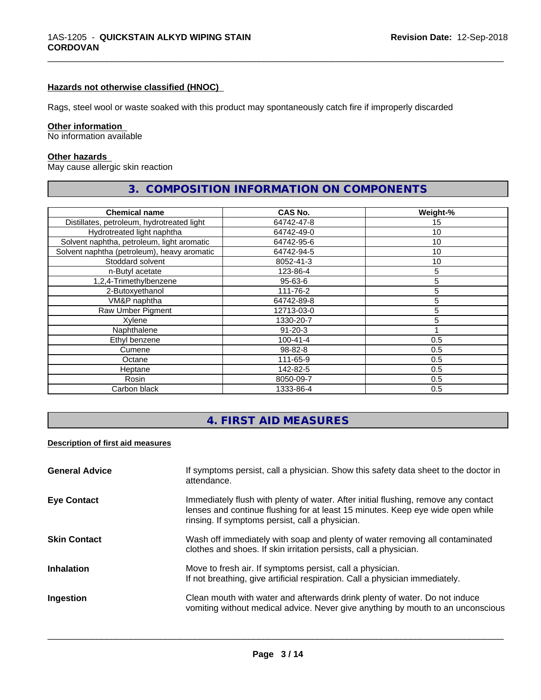## **Hazards not otherwise classified (HNOC)**

Rags, steel wool or waste soaked with this product may spontaneously catch fire if improperly discarded

## **Other information**

No information available

#### **Other hazards**

May cause allergic skin reaction

# **3. COMPOSITION INFORMATION ON COMPONENTS**

\_\_\_\_\_\_\_\_\_\_\_\_\_\_\_\_\_\_\_\_\_\_\_\_\_\_\_\_\_\_\_\_\_\_\_\_\_\_\_\_\_\_\_\_\_\_\_\_\_\_\_\_\_\_\_\_\_\_\_\_\_\_\_\_\_\_\_\_\_\_\_\_\_\_\_\_\_\_\_\_\_\_\_\_\_\_\_\_\_\_\_\_\_

| <b>Chemical name</b>                        | <b>CAS No.</b> | Weight-% |
|---------------------------------------------|----------------|----------|
| Distillates, petroleum, hydrotreated light  | 64742-47-8     | 15       |
| Hydrotreated light naphtha                  | 64742-49-0     | 10       |
| Solvent naphtha, petroleum, light aromatic  | 64742-95-6     | 10       |
| Solvent naphtha (petroleum), heavy aromatic | 64742-94-5     | 10       |
| Stoddard solvent                            | 8052-41-3      | 10       |
| n-Butyl acetate                             | 123-86-4       | 5        |
| 1,2,4-Trimethylbenzene                      | 95-63-6        | 5        |
| 2-Butoxyethanol                             | 111-76-2       | 5        |
| VM&P naphtha                                | 64742-89-8     | 5        |
| Raw Umber Pigment                           | 12713-03-0     | 5        |
| Xylene                                      | 1330-20-7      | 5        |
| Naphthalene                                 | $91 - 20 - 3$  |          |
| Ethyl benzene                               | $100 - 41 - 4$ | 0.5      |
| Cumene                                      | 98-82-8        | 0.5      |
| Octane                                      | 111-65-9       | 0.5      |
| Heptane                                     | 142-82-5       | 0.5      |
| Rosin                                       | 8050-09-7      | 0.5      |
| Carbon black                                | 1333-86-4      | 0.5      |

# **4. FIRST AID MEASURES**

#### **Description of first aid measures**

| <b>General Advice</b> | If symptoms persist, call a physician. Show this safety data sheet to the doctor in<br>attendance.                                                                                                                      |
|-----------------------|-------------------------------------------------------------------------------------------------------------------------------------------------------------------------------------------------------------------------|
| <b>Eye Contact</b>    | Immediately flush with plenty of water. After initial flushing, remove any contact<br>lenses and continue flushing for at least 15 minutes. Keep eye wide open while<br>rinsing. If symptoms persist, call a physician. |
| <b>Skin Contact</b>   | Wash off immediately with soap and plenty of water removing all contaminated<br>clothes and shoes. If skin irritation persists, call a physician.                                                                       |
| <b>Inhalation</b>     | Move to fresh air. If symptoms persist, call a physician.<br>If not breathing, give artificial respiration. Call a physician immediately.                                                                               |
| Ingestion             | Clean mouth with water and afterwards drink plenty of water. Do not induce<br>vomiting without medical advice. Never give anything by mouth to an unconscious                                                           |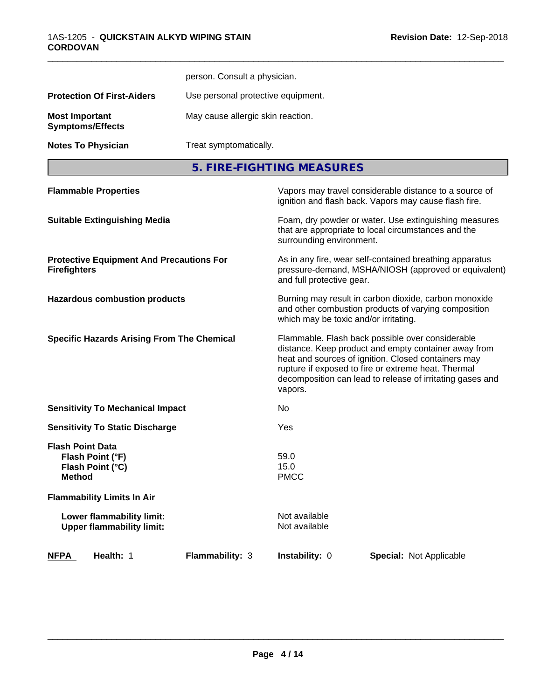|                                                                                  |                                                   | person. Consult a physician.                                                                                                                                                                                                                                                                   |  |  |  |
|----------------------------------------------------------------------------------|---------------------------------------------------|------------------------------------------------------------------------------------------------------------------------------------------------------------------------------------------------------------------------------------------------------------------------------------------------|--|--|--|
| <b>Protection Of First-Aiders</b>                                                |                                                   | Use personal protective equipment.                                                                                                                                                                                                                                                             |  |  |  |
|                                                                                  |                                                   |                                                                                                                                                                                                                                                                                                |  |  |  |
| <b>Most Important</b><br><b>Symptoms/Effects</b>                                 |                                                   | May cause allergic skin reaction.                                                                                                                                                                                                                                                              |  |  |  |
| <b>Notes To Physician</b>                                                        | Treat symptomatically.                            |                                                                                                                                                                                                                                                                                                |  |  |  |
|                                                                                  |                                                   | 5. FIRE-FIGHTING MEASURES                                                                                                                                                                                                                                                                      |  |  |  |
| <b>Flammable Properties</b>                                                      |                                                   | Vapors may travel considerable distance to a source of<br>ignition and flash back. Vapors may cause flash fire.                                                                                                                                                                                |  |  |  |
| <b>Suitable Extinguishing Media</b>                                              |                                                   | Foam, dry powder or water. Use extinguishing measures<br>that are appropriate to local circumstances and the<br>surrounding environment.                                                                                                                                                       |  |  |  |
| <b>Firefighters</b>                                                              | <b>Protective Equipment And Precautions For</b>   | As in any fire, wear self-contained breathing apparatus<br>pressure-demand, MSHA/NIOSH (approved or equivalent)<br>and full protective gear.                                                                                                                                                   |  |  |  |
| <b>Hazardous combustion products</b>                                             |                                                   | Burning may result in carbon dioxide, carbon monoxide<br>and other combustion products of varying composition<br>which may be toxic and/or irritating.                                                                                                                                         |  |  |  |
|                                                                                  | <b>Specific Hazards Arising From The Chemical</b> | Flammable. Flash back possible over considerable<br>distance. Keep product and empty container away from<br>heat and sources of ignition. Closed containers may<br>rupture if exposed to fire or extreme heat. Thermal<br>decomposition can lead to release of irritating gases and<br>vapors. |  |  |  |
| <b>Sensitivity To Mechanical Impact</b>                                          |                                                   | No                                                                                                                                                                                                                                                                                             |  |  |  |
| <b>Sensitivity To Static Discharge</b>                                           |                                                   | Yes                                                                                                                                                                                                                                                                                            |  |  |  |
| <b>Flash Point Data</b><br>Flash Point (°F)<br>Flash Point (°C)<br><b>Method</b> |                                                   | 59.0<br>15.0<br><b>PMCC</b>                                                                                                                                                                                                                                                                    |  |  |  |
| <b>Flammability Limits In Air</b>                                                |                                                   |                                                                                                                                                                                                                                                                                                |  |  |  |
| Lower flammability limit:<br><b>Upper flammability limit:</b>                    |                                                   | Not available<br>Not available                                                                                                                                                                                                                                                                 |  |  |  |
| Health: 1<br><b>NFPA</b>                                                         | Flammability: 3                                   | Instability: 0<br>Special: Not Applicable                                                                                                                                                                                                                                                      |  |  |  |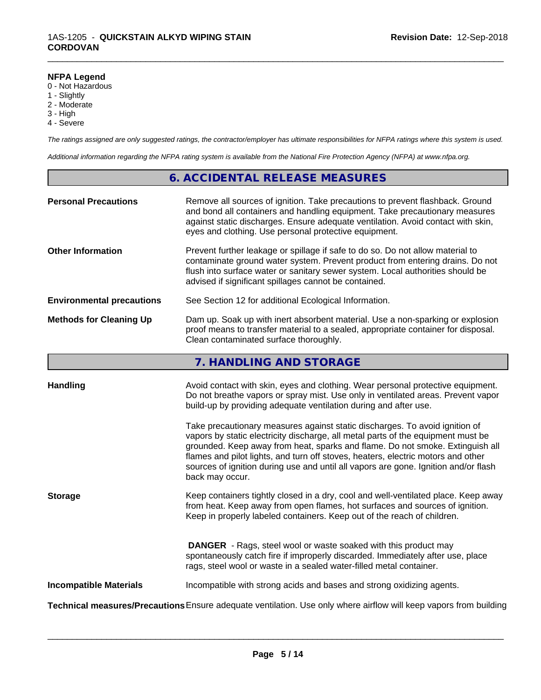#### **NFPA Legend**

- 0 Not Hazardous
- 1 Slightly
- 2 Moderate
- 3 High
- 4 Severe

*The ratings assigned are only suggested ratings, the contractor/employer has ultimate responsibilities for NFPA ratings where this system is used.*

\_\_\_\_\_\_\_\_\_\_\_\_\_\_\_\_\_\_\_\_\_\_\_\_\_\_\_\_\_\_\_\_\_\_\_\_\_\_\_\_\_\_\_\_\_\_\_\_\_\_\_\_\_\_\_\_\_\_\_\_\_\_\_\_\_\_\_\_\_\_\_\_\_\_\_\_\_\_\_\_\_\_\_\_\_\_\_\_\_\_\_\_\_

*Additional information regarding the NFPA rating system is available from the National Fire Protection Agency (NFPA) at www.nfpa.org.*

## **6. ACCIDENTAL RELEASE MEASURES**

| <b>Personal Precautions</b>      | Remove all sources of ignition. Take precautions to prevent flashback. Ground<br>and bond all containers and handling equipment. Take precautionary measures<br>against static discharges. Ensure adequate ventilation. Avoid contact with skin,<br>eyes and clothing. Use personal protective equipment.  |
|----------------------------------|------------------------------------------------------------------------------------------------------------------------------------------------------------------------------------------------------------------------------------------------------------------------------------------------------------|
| <b>Other Information</b>         | Prevent further leakage or spillage if safe to do so. Do not allow material to<br>contaminate ground water system. Prevent product from entering drains. Do not<br>flush into surface water or sanitary sewer system. Local authorities should be<br>advised if significant spillages cannot be contained. |
| <b>Environmental precautions</b> | See Section 12 for additional Ecological Information.                                                                                                                                                                                                                                                      |
| <b>Methods for Cleaning Up</b>   | Dam up. Soak up with inert absorbent material. Use a non-sparking or explosion<br>proof means to transfer material to a sealed, appropriate container for disposal.<br>Clean contaminated surface thoroughly.                                                                                              |

## **7. HANDLING AND STORAGE**

| <b>Handling</b>               | Avoid contact with skin, eyes and clothing. Wear personal protective equipment.<br>Do not breathe vapors or spray mist. Use only in ventilated areas. Prevent vapor                                                                                                                                                  |
|-------------------------------|----------------------------------------------------------------------------------------------------------------------------------------------------------------------------------------------------------------------------------------------------------------------------------------------------------------------|
|                               | build-up by providing adequate ventilation during and after use.<br>Take precautionary measures against static discharges. To avoid ignition of<br>vapors by static electricity discharge, all metal parts of the equipment must be<br>grounded. Keep away from heat, sparks and flame. Do not smoke. Extinguish all |
|                               | flames and pilot lights, and turn off stoves, heaters, electric motors and other<br>sources of ignition during use and until all vapors are gone. Ignition and/or flash<br>back may occur.                                                                                                                           |
| <b>Storage</b>                | Keep containers tightly closed in a dry, cool and well-ventilated place. Keep away<br>from heat. Keep away from open flames, hot surfaces and sources of ignition.<br>Keep in properly labeled containers. Keep out of the reach of children.                                                                        |
|                               | <b>DANGER</b> - Rags, steel wool or waste soaked with this product may<br>spontaneously catch fire if improperly discarded. Immediately after use, place<br>rags, steel wool or waste in a sealed water-filled metal container.                                                                                      |
| <b>Incompatible Materials</b> | Incompatible with strong acids and bases and strong oxidizing agents.                                                                                                                                                                                                                                                |
|                               | Technical measures/Precautions Ensure adequate ventilation. Use only where airflow will keep vapors from building                                                                                                                                                                                                    |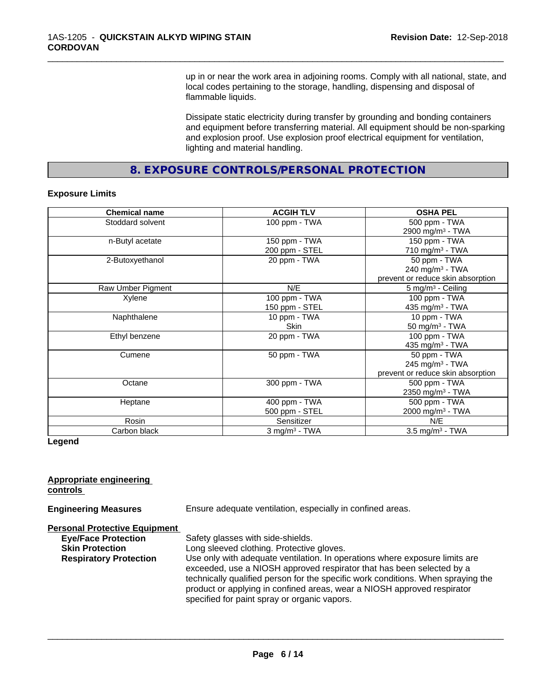up in or near the work area in adjoining rooms. Comply with all national, state, and local codes pertaining to the storage, handling, dispensing and disposal of flammable liquids.

\_\_\_\_\_\_\_\_\_\_\_\_\_\_\_\_\_\_\_\_\_\_\_\_\_\_\_\_\_\_\_\_\_\_\_\_\_\_\_\_\_\_\_\_\_\_\_\_\_\_\_\_\_\_\_\_\_\_\_\_\_\_\_\_\_\_\_\_\_\_\_\_\_\_\_\_\_\_\_\_\_\_\_\_\_\_\_\_\_\_\_\_\_

Dissipate static electricity during transfer by grounding and bonding containers and equipment before transferring material. All equipment should be non-sparking and explosion proof. Use explosion proof electrical equipment for ventilation, lighting and material handling.

**8. EXPOSURE CONTROLS/PERSONAL PROTECTION**

### **Exposure Limits**

| <b>Chemical name</b> | <b>ACGIH TLV</b>            | <b>OSHA PEL</b>                   |
|----------------------|-----------------------------|-----------------------------------|
| Stoddard solvent     | 100 ppm - TWA               | 500 ppm - TWA                     |
|                      |                             | 2900 mg/m <sup>3</sup> - TWA      |
| n-Butyl acetate      | 150 ppm - TWA               | 150 ppm - TWA                     |
|                      | 200 ppm - STEL              | 710 mg/m $3$ - TWA                |
| 2-Butoxyethanol      | 20 ppm - TWA                | 50 ppm - TWA                      |
|                      |                             | 240 mg/m $3$ - TWA                |
|                      |                             | prevent or reduce skin absorption |
| Raw Umber Pigment    | N/E                         | $5 \text{ mg/m}^3$ - Ceiling      |
| Xylene               | 100 ppm - TWA               | 100 ppm - TWA                     |
|                      | 150 ppm - STEL              | 435 mg/m $3$ - TWA                |
| Naphthalene          | 10 ppm - TWA                | 10 ppm - TWA                      |
|                      | Skin                        | 50 mg/m $3$ - TWA                 |
| Ethyl benzene        | 20 ppm - TWA                | 100 ppm - TWA                     |
|                      |                             | 435 mg/m <sup>3</sup> - TWA       |
| Cumene               | 50 ppm - TWA                | 50 ppm - TWA                      |
|                      |                             | 245 mg/m $3$ - TWA                |
|                      |                             | prevent or reduce skin absorption |
| Octane               | 300 ppm - TWA               | 500 ppm - TWA                     |
|                      |                             | 2350 mg/m <sup>3</sup> - TWA      |
| Heptane              | 400 ppm - TWA               | 500 ppm - TWA                     |
|                      | 500 ppm - STEL              | 2000 mg/m <sup>3</sup> - TWA      |
| Rosin                | Sensitizer                  | N/E                               |
| Carbon black         | $3$ mg/m <sup>3</sup> - TWA | $3.5$ mg/m <sup>3</sup> - TWA     |

### **Legend**

### **Appropriate engineering controls**

**Engineering Measures** Ensure adequate ventilation, especially in confined areas.

#### **Personal Protective Equipment**

| <b>Eye/Face Protection</b>    | Safety glasses with side-shields.                                                |
|-------------------------------|----------------------------------------------------------------------------------|
| <b>Skin Protection</b>        | Long sleeved clothing. Protective gloves.                                        |
| <b>Respiratory Protection</b> | Use only with adequate ventilation. In operations where exposure limits are      |
|                               | exceeded, use a NIOSH approved respirator that has been selected by a            |
|                               | technically qualified person for the specific work conditions. When spraying the |
|                               | product or applying in confined areas, wear a NIOSH approved respirator          |
|                               | specified for paint spray or organic vapors.                                     |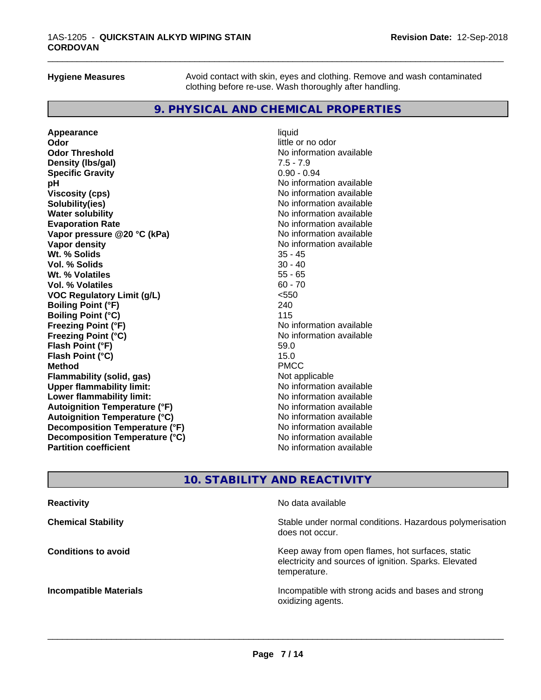**Hygiene Measures** Avoid contact with skin, eyes and clothing. Remove and wash contaminated clothing before re-use. Wash thoroughly after handling.

\_\_\_\_\_\_\_\_\_\_\_\_\_\_\_\_\_\_\_\_\_\_\_\_\_\_\_\_\_\_\_\_\_\_\_\_\_\_\_\_\_\_\_\_\_\_\_\_\_\_\_\_\_\_\_\_\_\_\_\_\_\_\_\_\_\_\_\_\_\_\_\_\_\_\_\_\_\_\_\_\_\_\_\_\_\_\_\_\_\_\_\_\_

## **9. PHYSICAL AND CHEMICAL PROPERTIES**

**Appearance** liquid **Odor** little or no odor **Odor Threshold**<br> **Density (Ibs/gal)**<br> **Density (Ibs/gal)**<br> **No information available**<br>  $7.5 - 7.9$ **Density (Ibs/gal) Specific Gravity** 0.90 - 0.94 **pH pH**  $\blacksquare$ **Viscosity (cps)** No information available<br> **Solubility(ies)** No information available **Solubility(ies)**<br> **No information available**<br> **Water solubility**<br> **Water solubility Evaporation Rate Conservation Rate** No information available<br> **Vapor pressure @20 °C (kPa)** No information available **Vapor** pressure @20 °C (kPa) **Vapor density Vapor** density **Wt. % Solids** 35 - 45 **Vol. % Solids** 30 - 40 **Wt. % Volatiles Vol. % Volatiles** 60 - 70 **VOC Regulatory Limit (g/L)** <550 **Boiling Point (°F)** 240 **Boiling Point (°C)** 115<br> **Preezing Point (°F)** No i **Freezing Point (°C)** No information available **Flash Point (°F)** 59.0<br> **Flash Point (°C)** 59.0<br> **Flash Point (°C)** 59.0 **Flash Point (°C)** 15.0 **Method** PMCC **Flammability (solid, gas)** Not applicable and the solution of the solution of the solution of the solution of the solution of the solution of the solution of the solution of the solution of the solution of the solution of **Upper flammability limit: Lower flammability limit:** No information available **Lower** flammability limit: **Autoignition Temperature (°F)**<br> **Autoignition Temperature (°C)** No information available **Autoignition Temperature (°C) Decomposition Temperature (°F)**<br> **Decomposition Temperature (°C)** Moinformation available **Decomposition Temperature (°C)**<br>Partition coefficient

**No information available Freezing Point (°F)** No information available **No information available** 

# **10. STABILITY AND REACTIVITY**

| <b>Reactivity</b>             | No data available                                                                                                         |
|-------------------------------|---------------------------------------------------------------------------------------------------------------------------|
| <b>Chemical Stability</b>     | Stable under normal conditions. Hazardous polymerisation<br>does not occur.                                               |
| <b>Conditions to avoid</b>    | Keep away from open flames, hot surfaces, static<br>electricity and sources of ignition. Sparks. Elevated<br>temperature. |
| <b>Incompatible Materials</b> | Incompatible with strong acids and bases and strong<br>oxidizing agents.                                                  |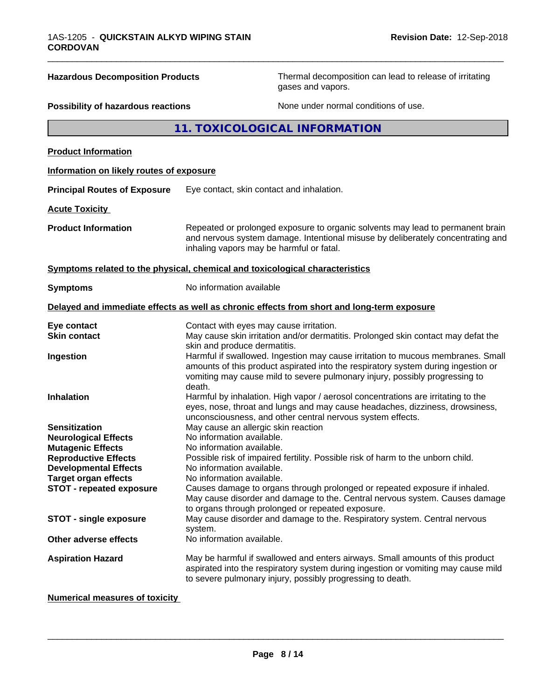**Hazardous Decomposition Products** Thermal decomposition can lead to release of irritating gases and vapors.

## **Possibility of hazardous reactions** None under normal conditions of use.

**11. TOXICOLOGICAL INFORMATION**

\_\_\_\_\_\_\_\_\_\_\_\_\_\_\_\_\_\_\_\_\_\_\_\_\_\_\_\_\_\_\_\_\_\_\_\_\_\_\_\_\_\_\_\_\_\_\_\_\_\_\_\_\_\_\_\_\_\_\_\_\_\_\_\_\_\_\_\_\_\_\_\_\_\_\_\_\_\_\_\_\_\_\_\_\_\_\_\_\_\_\_\_\_

| <b>Product Information</b>               |                                                                                                                                                                                                                                                               |
|------------------------------------------|---------------------------------------------------------------------------------------------------------------------------------------------------------------------------------------------------------------------------------------------------------------|
| Information on likely routes of exposure |                                                                                                                                                                                                                                                               |
| <b>Principal Routes of Exposure</b>      | Eye contact, skin contact and inhalation.                                                                                                                                                                                                                     |
| <b>Acute Toxicity</b>                    |                                                                                                                                                                                                                                                               |
| <b>Product Information</b>               | Repeated or prolonged exposure to organic solvents may lead to permanent brain<br>and nervous system damage. Intentional misuse by deliberately concentrating and<br>inhaling vapors may be harmful or fatal.                                                 |
|                                          | Symptoms related to the physical, chemical and toxicological characteristics                                                                                                                                                                                  |
| <b>Symptoms</b>                          | No information available                                                                                                                                                                                                                                      |
|                                          | Delayed and immediate effects as well as chronic effects from short and long-term exposure                                                                                                                                                                    |
| Eye contact                              | Contact with eyes may cause irritation.                                                                                                                                                                                                                       |
| <b>Skin contact</b>                      | May cause skin irritation and/or dermatitis. Prolonged skin contact may defat the<br>skin and produce dermatitis.                                                                                                                                             |
| Ingestion                                | Harmful if swallowed. Ingestion may cause irritation to mucous membranes. Small<br>amounts of this product aspirated into the respiratory system during ingestion or<br>vomiting may cause mild to severe pulmonary injury, possibly progressing to<br>death. |
| <b>Inhalation</b>                        | Harmful by inhalation. High vapor / aerosol concentrations are irritating to the<br>eyes, nose, throat and lungs and may cause headaches, dizziness, drowsiness,<br>unconsciousness, and other central nervous system effects.                                |
| <b>Sensitization</b>                     | May cause an allergic skin reaction                                                                                                                                                                                                                           |
| <b>Neurological Effects</b>              | No information available.                                                                                                                                                                                                                                     |
| <b>Mutagenic Effects</b>                 | No information available.                                                                                                                                                                                                                                     |
| <b>Reproductive Effects</b>              | Possible risk of impaired fertility. Possible risk of harm to the unborn child.                                                                                                                                                                               |
| <b>Developmental Effects</b>             | No information available.                                                                                                                                                                                                                                     |
| <b>Target organ effects</b>              | No information available.                                                                                                                                                                                                                                     |
| <b>STOT - repeated exposure</b>          | Causes damage to organs through prolonged or repeated exposure if inhaled.<br>May cause disorder and damage to the. Central nervous system. Causes damage<br>to organs through prolonged or repeated exposure.                                                |
| <b>STOT - single exposure</b>            | May cause disorder and damage to the. Respiratory system. Central nervous<br>system.                                                                                                                                                                          |
| Other adverse effects                    | No information available.                                                                                                                                                                                                                                     |
| <b>Aspiration Hazard</b>                 | May be harmful if swallowed and enters airways. Small amounts of this product<br>aspirated into the respiratory system during ingestion or vomiting may cause mild<br>to severe pulmonary injury, possibly progressing to death.                              |

**Numerical measures of toxicity**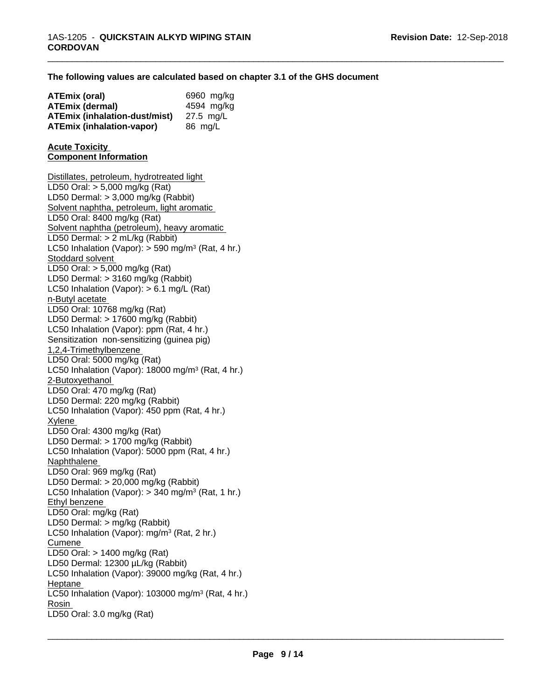## **The following values are calculated based on chapter 3.1 of the GHS document**

\_\_\_\_\_\_\_\_\_\_\_\_\_\_\_\_\_\_\_\_\_\_\_\_\_\_\_\_\_\_\_\_\_\_\_\_\_\_\_\_\_\_\_\_\_\_\_\_\_\_\_\_\_\_\_\_\_\_\_\_\_\_\_\_\_\_\_\_\_\_\_\_\_\_\_\_\_\_\_\_\_\_\_\_\_\_\_\_\_\_\_\_\_

| ATEmix (oral)                        | 6960 mg/kg |
|--------------------------------------|------------|
| <b>ATEmix (dermal)</b>               | 4594 mg/kg |
| <b>ATEmix (inhalation-dust/mist)</b> | 27.5 mg/L  |
| <b>ATEmix (inhalation-vapor)</b>     | 86 mg/L    |

#### **Acute Toxicity Component Information**

Distillates, petroleum, hydrotreated light LD50 Oral: > 5,000 mg/kg (Rat) LD50 Dermal: > 3,000 mg/kg (Rabbit) Solvent naphtha, petroleum, light aromatic LD50 Oral: 8400 mg/kg (Rat) Solvent naphtha (petroleum), heavy aromatic LD50 Dermal: > 2 mL/kg (Rabbit) LC50 Inhalation (Vapor): > 590 mg/m<sup>3</sup> (Rat, 4 hr.) Stoddard solvent LD50 Oral: > 5,000 mg/kg (Rat) LD50 Dermal: > 3160 mg/kg (Rabbit) LC50 Inhalation (Vapor): > 6.1 mg/L (Rat) n-Butyl acetate LD50 Oral: 10768 mg/kg (Rat) LD50 Dermal: > 17600 mg/kg (Rabbit) LC50 Inhalation (Vapor): ppm (Rat, 4 hr.) Sensitization non-sensitizing (guinea pig) 1,2,4-Trimethylbenzene LD50 Oral: 5000 mg/kg (Rat) LC50 Inhalation (Vapor): 18000 mg/m<sup>3</sup> (Rat, 4 hr.) 2-Butoxyethanol LD50 Oral: 470 mg/kg (Rat) LD50 Dermal: 220 mg/kg (Rabbit) LC50 Inhalation (Vapor): 450 ppm (Rat, 4 hr.) Xylene LD50 Oral: 4300 mg/kg (Rat) LD50 Dermal: > 1700 mg/kg (Rabbit) LC50 Inhalation (Vapor): 5000 ppm (Rat, 4 hr.) Naphthalene LD50 Oral: 969 mg/kg (Rat) LD50 Dermal: > 20,000 mg/kg (Rabbit) LC50 Inhalation (Vapor): > 340 mg/m<sup>3</sup> (Rat, 1 hr.) Ethyl benzene LD50 Oral: mg/kg (Rat) LD50 Dermal: > mg/kg (Rabbit) LC50 Inhalation (Vapor): mg/m<sup>3</sup> (Rat, 2 hr.) Cumene LD50 Oral: > 1400 mg/kg (Rat) LD50 Dermal: 12300 µL/kg (Rabbit) LC50 Inhalation (Vapor): 39000 mg/kg (Rat, 4 hr.) Heptane LC50 Inhalation (Vapor): 103000 mg/m<sup>3</sup> (Rat, 4 hr.) Rosin \_\_\_\_\_\_\_\_\_\_\_\_\_\_\_\_\_\_\_\_\_\_\_\_\_\_\_\_\_\_\_\_\_\_\_\_\_\_\_\_\_\_\_\_\_\_\_\_\_\_\_\_\_\_\_\_\_\_\_\_\_\_\_\_\_\_\_\_\_\_\_\_\_\_\_\_\_\_\_\_\_\_\_\_\_\_\_\_\_\_\_\_\_ LD50 Oral: 3.0 mg/kg (Rat)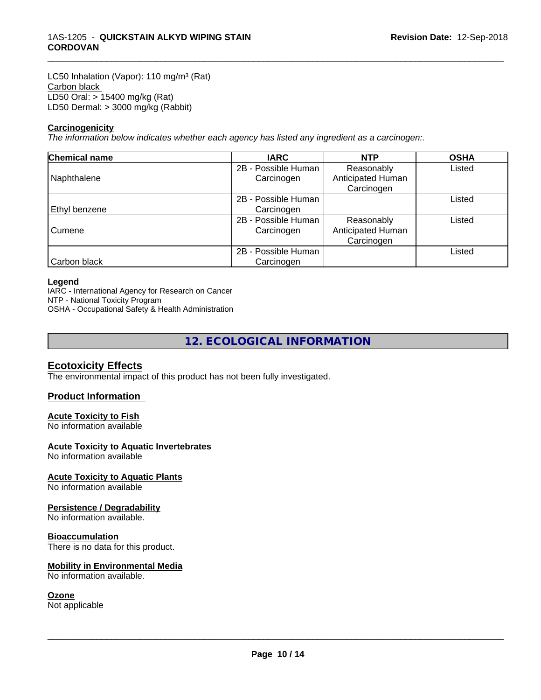LC50 Inhalation (Vapor): 110 mg/m<sup>3</sup> (Rat) Carbon black LD50 Oral: > 15400 mg/kg (Rat) LD50 Dermal: > 3000 mg/kg (Rabbit)

#### **Carcinogenicity**

*The information below indicateswhether each agency has listed any ingredient as a carcinogen:.*

| <b>Chemical name</b> | <b>IARC</b>         | <b>NTP</b>        | <b>OSHA</b> |
|----------------------|---------------------|-------------------|-------------|
|                      | 2B - Possible Human | Reasonably        | Listed      |
| Naphthalene          | Carcinogen          | Anticipated Human |             |
|                      |                     | Carcinogen        |             |
|                      | 2B - Possible Human |                   | Listed      |
| Ethyl benzene        | Carcinogen          |                   |             |
|                      | 2B - Possible Human | Reasonably        | Listed      |
| Cumene               | Carcinogen          | Anticipated Human |             |
|                      |                     | Carcinogen        |             |
|                      | 2B - Possible Human |                   | Listed      |
| Carbon black         | Carcinogen          |                   |             |

\_\_\_\_\_\_\_\_\_\_\_\_\_\_\_\_\_\_\_\_\_\_\_\_\_\_\_\_\_\_\_\_\_\_\_\_\_\_\_\_\_\_\_\_\_\_\_\_\_\_\_\_\_\_\_\_\_\_\_\_\_\_\_\_\_\_\_\_\_\_\_\_\_\_\_\_\_\_\_\_\_\_\_\_\_\_\_\_\_\_\_\_\_

#### **Legend**

IARC - International Agency for Research on Cancer

NTP - National Toxicity Program

OSHA - Occupational Safety & Health Administration

## **12. ECOLOGICAL INFORMATION**

## **Ecotoxicity Effects**

The environmental impact of this product has not been fully investigated.

## **Product Information**

### **Acute Toxicity to Fish**

No information available

## **Acute Toxicity to Aquatic Invertebrates**

No information available

### **Acute Toxicity to Aquatic Plants**

No information available

### **Persistence / Degradability**

No information available.

#### **Bioaccumulation**

There is no data for this product.

### **Mobility in Environmental Media**

No information available.

### **Ozone**

Not applicable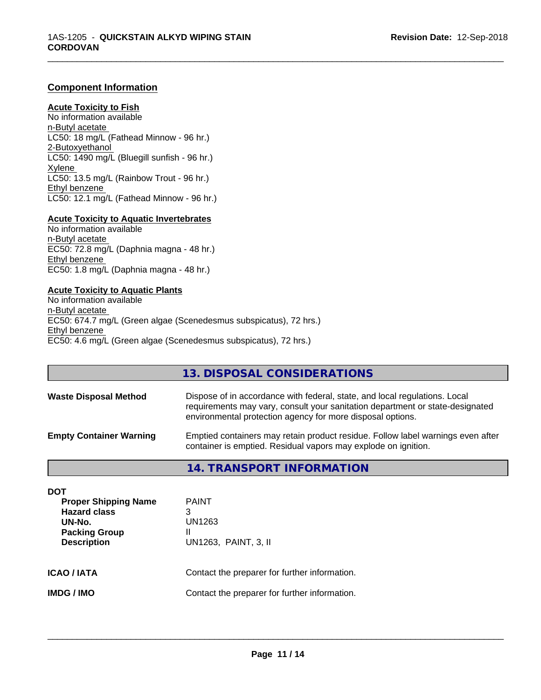## **Component Information**

## **Acute Toxicity to Fish**

No information available n-Butyl acetate LC50: 18 mg/L (Fathead Minnow - 96 hr.) 2-Butoxyethanol LC50: 1490 mg/L (Bluegill sunfish - 96 hr.) Xylene LC50: 13.5 mg/L (Rainbow Trout - 96 hr.) Ethyl benzene LC50: 12.1 mg/L (Fathead Minnow - 96 hr.)

## **Acute Toxicity to Aquatic Invertebrates**

No information available n-Butyl acetate EC50: 72.8 mg/L (Daphnia magna - 48 hr.) Ethyl benzene EC50: 1.8 mg/L (Daphnia magna - 48 hr.)

### **Acute Toxicity to Aquatic Plants**

No information available n-Butyl acetate EC50: 674.7 mg/L (Green algae (Scenedesmus subspicatus), 72 hrs.) Ethyl benzene EC50: 4.6 mg/L (Green algae (Scenedesmus subspicatus), 72 hrs.)

## **13. DISPOSAL CONSIDERATIONS**

\_\_\_\_\_\_\_\_\_\_\_\_\_\_\_\_\_\_\_\_\_\_\_\_\_\_\_\_\_\_\_\_\_\_\_\_\_\_\_\_\_\_\_\_\_\_\_\_\_\_\_\_\_\_\_\_\_\_\_\_\_\_\_\_\_\_\_\_\_\_\_\_\_\_\_\_\_\_\_\_\_\_\_\_\_\_\_\_\_\_\_\_\_

| <b>Waste Disposal Method</b>   | Dispose of in accordance with federal, state, and local regulations. Local<br>requirements may vary, consult your sanitation department or state-designated<br>environmental protection agency for more disposal options. |
|--------------------------------|---------------------------------------------------------------------------------------------------------------------------------------------------------------------------------------------------------------------------|
| <b>Empty Container Warning</b> | Emptied containers may retain product residue. Follow label warnings even after<br>container is emptied. Residual vapors may explode on ignition.                                                                         |

## **14. TRANSPORT INFORMATION**

| <b>DOT</b><br><b>Proper Shipping Name</b><br><b>Hazard class</b><br>UN-No.<br><b>Packing Group</b><br><b>Description</b> | <b>PAINT</b><br>3<br>UN1263<br>Ш<br>UN1263, PAINT, 3, II |
|--------------------------------------------------------------------------------------------------------------------------|----------------------------------------------------------|
| <b>ICAO / IATA</b>                                                                                                       | Contact the preparer for further information.            |
| <b>IMDG/IMO</b>                                                                                                          | Contact the preparer for further information.            |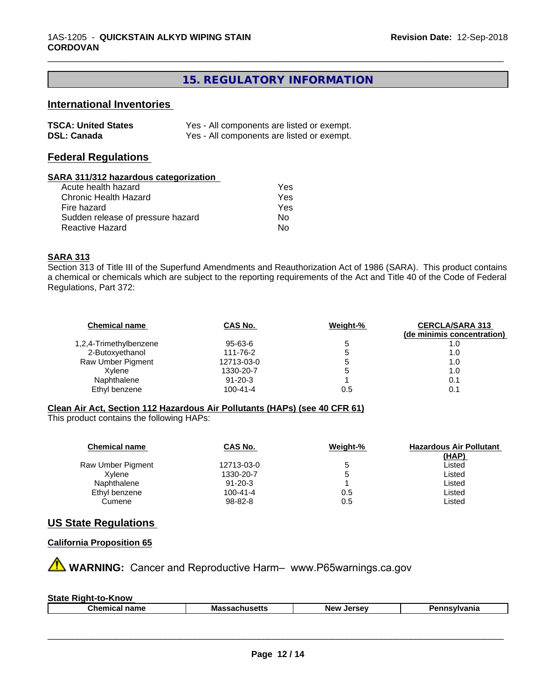# **15. REGULATORY INFORMATION**

\_\_\_\_\_\_\_\_\_\_\_\_\_\_\_\_\_\_\_\_\_\_\_\_\_\_\_\_\_\_\_\_\_\_\_\_\_\_\_\_\_\_\_\_\_\_\_\_\_\_\_\_\_\_\_\_\_\_\_\_\_\_\_\_\_\_\_\_\_\_\_\_\_\_\_\_\_\_\_\_\_\_\_\_\_\_\_\_\_\_\_\_\_

## **International Inventories**

| <b>TSCA: United States</b> | Yes - All components are listed or exempt. |
|----------------------------|--------------------------------------------|
| <b>DSL: Canada</b>         | Yes - All components are listed or exempt. |

## **Federal Regulations**

#### **SARA 311/312 hazardous categorization**

| Acute health hazard               | Yes |
|-----------------------------------|-----|
| Chronic Health Hazard             | Yes |
| Fire hazard                       | Yes |
| Sudden release of pressure hazard | Nο  |
| Reactive Hazard                   | Nο  |

## **SARA 313**

Section 313 of Title III of the Superfund Amendments and Reauthorization Act of 1986 (SARA). This product contains a chemical or chemicals which are subject to the reporting requirements of the Act and Title 40 of the Code of Federal Regulations, Part 372:

| <b>Chemical name</b>   | CAS No.        | Weight-% | <b>CERCLA/SARA 313</b><br>(de minimis concentration) |
|------------------------|----------------|----------|------------------------------------------------------|
| 1,2,4-Trimethylbenzene | 95-63-6        |          | 1.0                                                  |
| 2-Butoxyethanol        | 111-76-2       |          | 1.0                                                  |
| Raw Umber Pigment      | 12713-03-0     |          | 1.0                                                  |
| Xylene                 | 1330-20-7      |          | 1.0                                                  |
| Naphthalene            | $91 - 20 - 3$  |          | 0.1                                                  |
| Ethyl benzene          | $100 - 41 - 4$ | 0.5      | 0.1                                                  |

## **Clean Air Act,Section 112 Hazardous Air Pollutants (HAPs) (see 40 CFR 61)**

This product contains the following HAPs:

| <b>Chemical name</b> | CAS No.        | Weight-% | <b>Hazardous Air Pollutant</b><br>(HAP) |
|----------------------|----------------|----------|-----------------------------------------|
| Raw Umber Pigment    | 12713-03-0     |          | Listed                                  |
| Xvlene               | 1330-20-7      | b        | Listed                                  |
| Naphthalene          | $91 - 20 - 3$  |          | Listed                                  |
| Ethyl benzene        | $100 - 41 - 4$ | 0.5      | Listed                                  |
| Cumene               | 98-82-8        | 0.5      | Listed                                  |

## **US State Regulations**

## **California Proposition 65**

**AN** WARNING: Cancer and Reproductive Harm– www.P65warnings.ca.gov

| <b>State</b><br>·Know<br>Right-to-K |                   |                              |              |
|-------------------------------------|-------------------|------------------------------|--------------|
| <b>Chemical name</b>                | Massacr<br>แนวဗแว | <b>Jerse</b> v<br><b>Nev</b> | Pennsvlvania |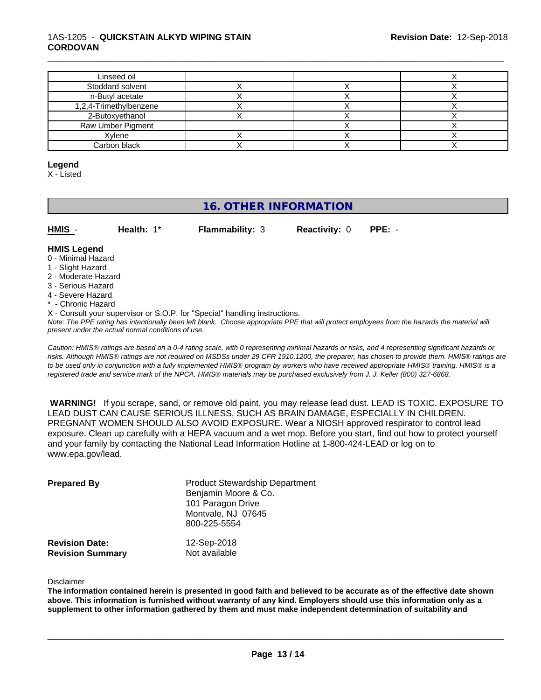## 1AS-1205 - **QUICKSTAIN ALKYD WIPING STAIN CORDOVAN**

| Linseed oil            |  |  |
|------------------------|--|--|
| Stoddard solvent       |  |  |
| n-Butyl acetate        |  |  |
| 1,2,4-Trimethylbenzene |  |  |
| 2-Butoxyethanol        |  |  |
| Raw Umber Pigment      |  |  |
| Xylene                 |  |  |
| Carbon black           |  |  |

\_\_\_\_\_\_\_\_\_\_\_\_\_\_\_\_\_\_\_\_\_\_\_\_\_\_\_\_\_\_\_\_\_\_\_\_\_\_\_\_\_\_\_\_\_\_\_\_\_\_\_\_\_\_\_\_\_\_\_\_\_\_\_\_\_\_\_\_\_\_\_\_\_\_\_\_\_\_\_\_\_\_\_\_\_\_\_\_\_\_\_\_\_

#### **Legend**

X - Listed

# **16. OTHER INFORMATION**

| HMIS | Health: $1^*$ | <b>Flammability: 3</b> | <b>Reactivity: 0</b> | PPE: - |
|------|---------------|------------------------|----------------------|--------|
|      |               |                        |                      |        |

#### **HMIS Legend**

- 0 Minimal Hazard
- 1 Slight Hazard
- 2 Moderate Hazard
- 3 Serious Hazard
- 4 Severe Hazard
- Chronic Hazard
- X Consult your supervisor or S.O.P. for "Special" handling instructions.

*Note: The PPE rating has intentionally been left blank. Choose appropriate PPE that will protect employees from the hazards the material will present under the actual normal conditions of use.*

*Caution: HMISÒ ratings are based on a 0-4 rating scale, with 0 representing minimal hazards or risks, and 4 representing significant hazards or risks. Although HMISÒ ratings are not required on MSDSs under 29 CFR 1910.1200, the preparer, has chosen to provide them. HMISÒ ratings are to be used only in conjunction with a fully implemented HMISÒ program by workers who have received appropriate HMISÒ training. HMISÒ is a registered trade and service mark of the NPCA. HMISÒ materials may be purchased exclusively from J. J. Keller (800) 327-6868.*

 **WARNING!** If you scrape, sand, or remove old paint, you may release lead dust. LEAD IS TOXIC. EXPOSURE TO LEAD DUST CAN CAUSE SERIOUS ILLNESS, SUCH AS BRAIN DAMAGE, ESPECIALLY IN CHILDREN. PREGNANT WOMEN SHOULD ALSO AVOID EXPOSURE. Wear a NIOSH approved respirator to control lead exposure. Clean up carefully with a HEPA vacuum and a wet mop. Before you start, find out how to protect yourself and your family by contacting the National Lead Information Hotline at 1-800-424-LEAD or log on to www.epa.gov/lead.

| <b>Prepared By</b>                               | <b>Product Stewardship Department</b><br>Benjamin Moore & Co.<br>101 Paragon Drive<br>Montvale, NJ 07645<br>800-225-5554 |  |
|--------------------------------------------------|--------------------------------------------------------------------------------------------------------------------------|--|
| <b>Revision Date:</b><br><b>Revision Summary</b> | 12-Sep-2018<br>Not available                                                                                             |  |

Disclaimer

The information contained herein is presented in good faith and believed to be accurate as of the effective date shown above. This information is furnished without warranty of any kind. Employers should use this information only as a **supplement to other information gathered by them and must make independent determination of suitability and**